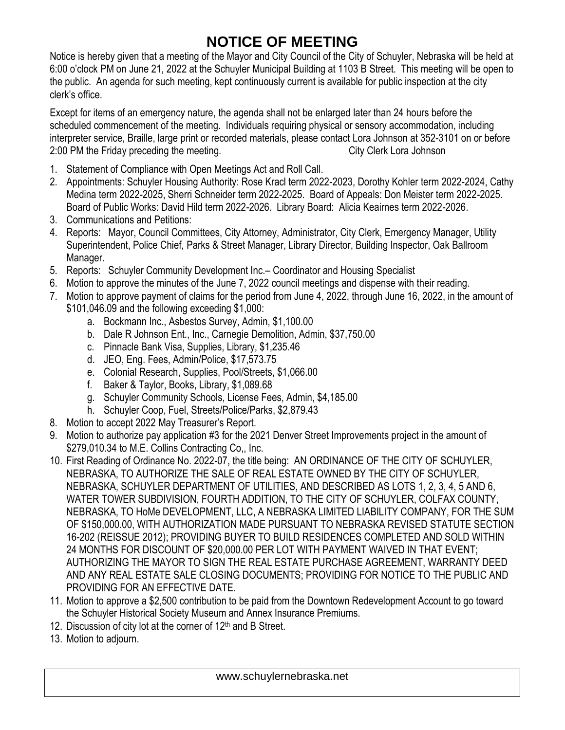## **NOTICE OF MEETING**

Notice is hereby given that a meeting of the Mayor and City Council of the City of Schuyler, Nebraska will be held at 6:00 o'clock PM on June 21, 2022 at the Schuyler Municipal Building at 1103 B Street. This meeting will be open to the public. An agenda for such meeting, kept continuously current is available for public inspection at the city clerk's office.

Except for items of an emergency nature, the agenda shall not be enlarged later than 24 hours before the scheduled commencement of the meeting. Individuals requiring physical or sensory accommodation, including interpreter service, Braille, large print or recorded materials, please contact Lora Johnson at 352-3101 on or before 2:00 PM the Friday preceding the meeting. The meeting contract the City Clerk Lora Johnson

- 1. Statement of Compliance with Open Meetings Act and Roll Call.
- 2. Appointments: Schuyler Housing Authority: Rose Kracl term 2022-2023, Dorothy Kohler term 2022-2024, Cathy Medina term 2022-2025, Sherri Schneider term 2022-2025. Board of Appeals: Don Meister term 2022-2025. Board of Public Works: David Hild term 2022-2026. Library Board: Alicia Keairnes term 2022-2026.
- 3. Communications and Petitions:
- 4. Reports: Mayor, Council Committees, City Attorney, Administrator, City Clerk, Emergency Manager, Utility Superintendent, Police Chief, Parks & Street Manager, Library Director, Building Inspector, Oak Ballroom Manager.
- 5. Reports: Schuyler Community Development Inc.– Coordinator and Housing Specialist
- 6. Motion to approve the minutes of the June 7, 2022 council meetings and dispense with their reading.
- 7. Motion to approve payment of claims for the period from June 4, 2022, through June 16, 2022, in the amount of \$101,046.09 and the following exceeding \$1,000:
	- a. Bockmann Inc., Asbestos Survey, Admin, \$1,100.00
	- b. Dale R Johnson Ent., Inc., Carnegie Demolition, Admin, \$37,750.00
	- c. Pinnacle Bank Visa, Supplies, Library, \$1,235.46
	- d. JEO, Eng. Fees, Admin/Police, \$17,573.75
	- e. Colonial Research, Supplies, Pool/Streets, \$1,066.00
	- f. Baker & Taylor, Books, Library, \$1,089.68
	- g. Schuyler Community Schools, License Fees, Admin, \$4,185.00
	- h. Schuyler Coop, Fuel, Streets/Police/Parks, \$2,879.43
- 8. Motion to accept 2022 May Treasurer's Report.
- 9. Motion to authorize pay application #3 for the 2021 Denver Street Improvements project in the amount of \$279,010.34 to M.E. Collins Contracting Co., Inc.
- 10. First Reading of Ordinance No. 2022-07, the title being: AN ORDINANCE OF THE CITY OF SCHUYLER, NEBRASKA, TO AUTHORIZE THE SALE OF REAL ESTATE OWNED BY THE CITY OF SCHUYLER, NEBRASKA, SCHUYLER DEPARTMENT OF UTILITIES, AND DESCRIBED AS LOTS 1, 2, 3, 4, 5 AND 6, WATER TOWER SUBDIVISION, FOURTH ADDITION, TO THE CITY OF SCHUYLER, COLFAX COUNTY, NEBRASKA, TO HoMe DEVELOPMENT, LLC, A NEBRASKA LIMITED LIABILITY COMPANY, FOR THE SUM OF \$150,000.00, WITH AUTHORIZATION MADE PURSUANT TO NEBRASKA REVISED STATUTE SECTION 16-202 (REISSUE 2012); PROVIDING BUYER TO BUILD RESIDENCES COMPLETED AND SOLD WITHIN 24 MONTHS FOR DISCOUNT OF \$20,000.00 PER LOT WITH PAYMENT WAIVED IN THAT EVENT; AUTHORIZING THE MAYOR TO SIGN THE REAL ESTATE PURCHASE AGREEMENT, WARRANTY DEED AND ANY REAL ESTATE SALE CLOSING DOCUMENTS; PROVIDING FOR NOTICE TO THE PUBLIC AND PROVIDING FOR AN EFFECTIVE DATE.
- 11. Motion to approve a \$2,500 contribution to be paid from the Downtown Redevelopment Account to go toward the Schuyler Historical Society Museum and Annex Insurance Premiums.
- 12. Discussion of city lot at the corner of  $12<sup>th</sup>$  and B Street.
- 13. Motion to adjourn.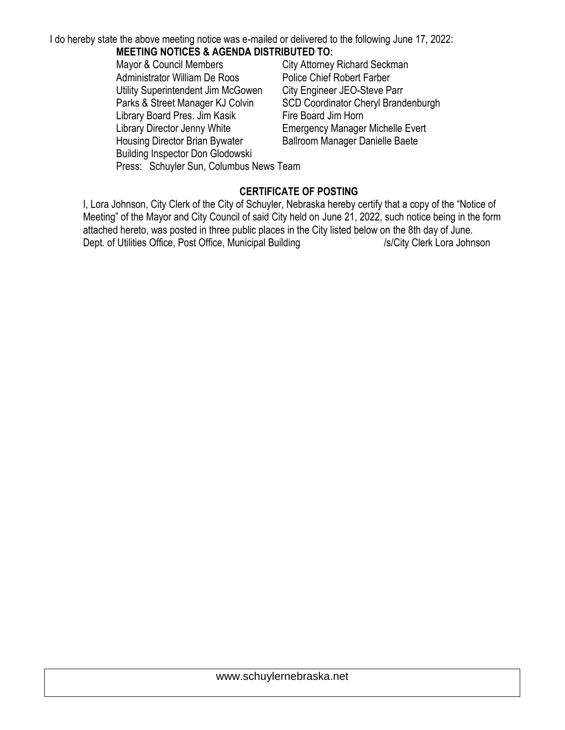I do hereby state the above meeting notice was e-mailed or delivered to the following June 17, 2022: **MEETING NOTICES & AGENDA DISTRIBUTED TO:**

Mayor & Council Members City Attorney Richard Seckman Administrator William De Roos Police Chief Robert Farber Utility Superintendent Jim McGowen City Engineer JEO-Steve Parr Parks & Street Manager KJ Colvin SCD Coordinator Cheryl Brandenburgh Library Board Pres. Jim Kasik Fire Board Jim Horn Library Director Jenny White **Emergency Manager Michelle Evert** Housing Director Brian Bywater Ballroom Manager Danielle Baete Building Inspector Don Glodowski Press: Schuyler Sun, Columbus News Team

## **CERTIFICATE OF POSTING**

I, Lora Johnson, City Clerk of the City of Schuyler, Nebraska hereby certify that a copy of the "Notice of Meeting" of the Mayor and City Council of said City held on June 21, 2022, such notice being in the form attached hereto, was posted in three public places in the City listed below on the 8th day of June. Dept. of Utilities Office, Post Office, Municipal Building /s/City Clerk Lora Johnson